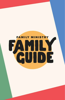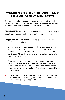## WELCOME TO OUR CHURCH AND TO OUR FAMILY MINISTRY!

Our team is excited to serve you and your family. Our goal is to help you feel comfortable and welcome. Please review this guide and feel free to reach out with any questions.

**OUR MISSION:** Partnering with families to teach kids of all ages about loving Jesus and having a relationship with Him.

CURRICULUM/TEACHING: Teaching is one of the most vital parts of children's ministry.

- Our programs use age-based teaching and lessons. Preschool and elementary use lessons from The Gospel Project by Lifeway. Middle school uses lessons from XP3 by Orange. All teachers are provided with lesson plans to use in the classroom.
- $\triangleright$  Small groups provide your child with an age-appropriate room that allows leaders and kids to build relationships. In small groups, we dive deeper into what we are learning through two-way conversations. This allows for each child to be heard and ministered to.
- Large group time provides your child with an age-appropriate worship service that engages them and teaches them through our worship songs and lesson.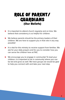# ROLE OF PARENT/ GUARDIANS (Our Beliefs)

- $\blacktriangleright$  It is important to attend church regularly and on time. We believe that consistency is so helpful for children.
- $\blacktriangleright$  We believe parents should be the primary leaders of their children. We are here to support you in that role in any way possible!
- It is vital for this ministry to receive support from families. We ask for your daily prayers and for you to consider how you can serve the children here at FAC.
- $\triangleright$  We encourage you to engage in community! To lead your children, it is important to be in community where you can be led and grow as well. We have groups we would be glad to help you connect with and take your next step.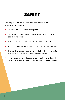# SAFETY

Ensuring that we have a safe and secure environment is always a top priority.

- $\blacktriangleright$  We have emergency plans in place.
- All volunteers must fill out an application and complete a background check.
- We require a minimum ratio of 2 leaders per room.
- We use cell phones to reach parents by text or phone call.
- $\blacktriangleright$  The family ministry areas are closed after drop-off time to everyone who is not an approved child worker.
- Matching security codes are given to both the child and parent for a secure pick-up for preschool and elementary.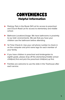## CONVENIENCES Helpful Information

- Parking: Park in the Route 541 Lot for access to preschool and Church Road Lot for access to elementary and middle school.
- ▶ Bathroom Locations/Usage: We have bathrooms in proximity to our kids' environments. We ask that you have your children use the bathroom before attending.
- 1st Time Check-In: Use your cell phone number to check in on the computer and print name tags for each member of your family.
- $\blacktriangleright$  If you have children in preschool and kindergarten to eighth grade, please drop off the elementary/middle school child(ren) first and pick the preschool child(ren) up first.
- $\blacktriangleright$  Families are welcome to use the slide in the Treehouse after each service.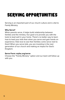# SERVING OPPORTUNITIES

Serving is an important part of our church culture and is vital to Family Ministry.

#### **Why Serve?**

When parents serve, it helps build relationship between families and the ministry. Our goal is to provide you with the tools to lead well in your home. There's no better way to learn how to lead your kids than when you serve and gain hands on experience. Kids love to see their families come serve next to them! When you serve kids, you are investing in the next generation of our church and making an impact for God's Kingdom.

#### **Serve Form: myfac.org/serve**

Choose the "Family Ministry" option and our team will follow up with you.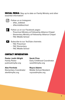**SOCIAL MEDIA:** Stay up to date on Family Ministry and other essential information!



Follow us on Instagram:

- @fac\_kidblast
- @facmiddleschool
- Follow us on our Facebook pages:
	- Preschool Ministry at Fellowship Alliance Chapel
	- Elementary Ministry at Fellowship Alliance Chapel
	- FAC Middle School

Subscribe to our YouTube channels:

- FAC Preschool
- FAC Elementary
- FAC Middle School

### CONTACT INFORMATION:

### **Pastor Justin Wright**

Family Pastor justinw@myfac.org

#### **Alex Fernholz**

Elementary Coordinator alexf@myfac.org

**Sarah Fires**

Early Childhood Coordinator sarahf@myfac.org

#### **Royce Adams**

Middle School Resident roycea@myfac.org